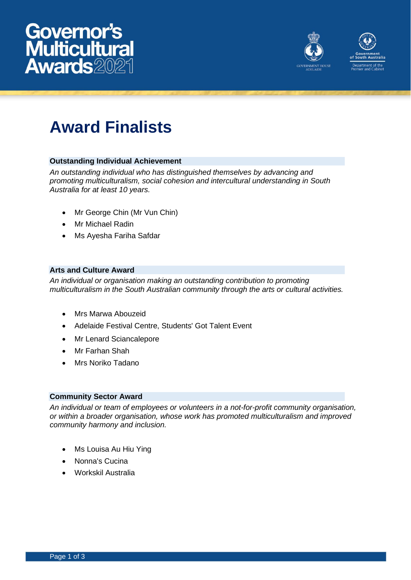



# **Award Finalists**

# **Outstanding Individual Achievement**

*An outstanding individual who has distinguished themselves by advancing and promoting multiculturalism, social cohesion and intercultural understanding in South Australia for at least 10 years.*

- Mr George Chin (Mr Vun Chin)
- Mr Michael Radin
- Ms Ayesha Fariha Safdar

## **Arts and Culture Award**

*An individual or organisation making an outstanding contribution to promoting multiculturalism in the South Australian community through the arts or cultural activities.*

- Mrs Marwa Abouzeid
- Adelaide Festival Centre, Students' Got Talent Event
- Mr Lenard Sciancalepore
- Mr Farhan Shah
- Mrs Noriko Tadano

## **Community Sector Award**

*An individual or team of employees or volunteers in a not-for-profit community organisation, or within a broader organisation, whose work has promoted multiculturalism and improved community harmony and inclusion.*

- Ms Louisa Au Hiu Ying
- Nonna's Cucina
- Workskil Australia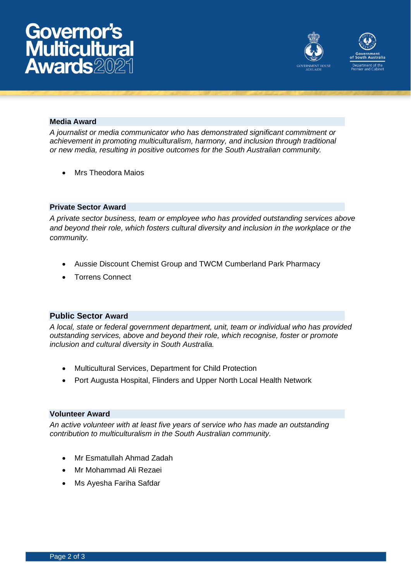



#### **Media Award**

*A journalist or media communicator who has demonstrated significant commitment or achievement in promoting multiculturalism, harmony, and inclusion through traditional or new media, resulting in positive outcomes for the South Australian community.*

• Mrs Theodora Maios

#### **Private Sector Award**

*A private sector business, team or employee who has provided outstanding services above and beyond their role, which fosters cultural diversity and inclusion in the workplace or the community.*

- Aussie Discount Chemist Group and TWCM Cumberland Park Pharmacy
- Torrens Connect

# **Public Sector Award**

*A local, state or federal government department, unit, team or individual who has provided outstanding services, above and beyond their role, which recognise, foster or promote inclusion and cultural diversity in South Australia.*

- Multicultural Services, Department for Child Protection
- Port Augusta Hospital, Flinders and Upper North Local Health Network

#### **Volunteer Award**

*An active volunteer with at least five years of service who has made an outstanding contribution to multiculturalism in the South Australian community.*

- Mr Esmatullah Ahmad Zadah
- Mr Mohammad Ali Rezaei
- Ms Ayesha Fariha Safdar